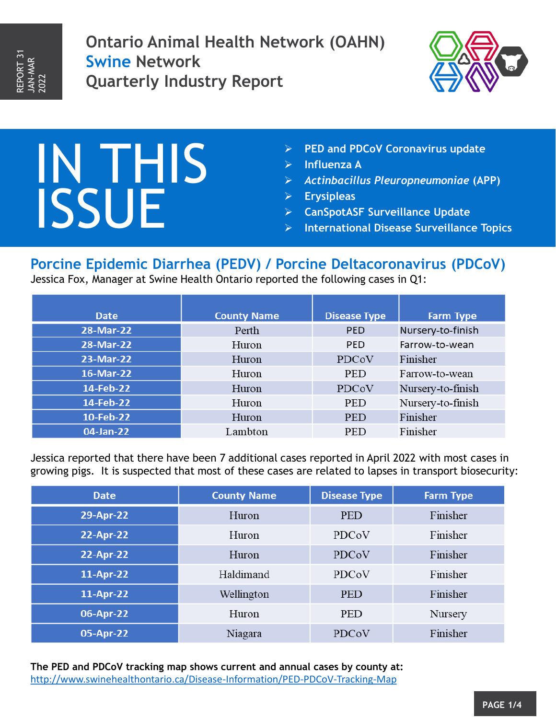**Ontario Animal Health Network (OAHN) Swine Network Quarterly Industry Report**



# IN THIS ISSUE

- **PED and PDCoV Coronavirus update**
- **Influenza A**
- *Actinbacillus Pleuropneumoniae* **(APP)**
- **Erysipleas**
- **CanSpotASF Surveillance Update**
- **International Disease Surveillance Topics**

## **Porcine Epidemic Diarrhea (PEDV) / Porcine Deltacoronavirus (PDCoV)**

Jessica Fox, Manager at Swine Health Ontario reported the following cases in Q1:

| <b>Date</b> | <b>County Name</b> | <b>Disease Type</b> | <b>Farm Type</b>  |
|-------------|--------------------|---------------------|-------------------|
| 28-Mar-22   | Perth              | <b>PED</b>          | Nursery-to-finish |
| 28-Mar-22   | Huron              | <b>PED</b>          | Farrow-to-wean    |
| 23-Mar-22   | Huron              | PDCoV               | Finisher          |
| 16-Mar-22   | Huron              | <b>PED</b>          | Farrow-to-wean    |
| 14-Feb-22   | Huron              | PDCoV               | Nursery-to-finish |
| 14-Feb-22   | Huron              | <b>PED</b>          | Nursery-to-finish |
| 10-Feb-22   | Huron              | <b>PED</b>          | Finisher          |
| 04-Jan-22   | Lambton            | <b>PED</b>          | Finisher          |

Jessica reported that there have been 7 additional cases reported in April 2022 with most cases in growing pigs. It is suspected that most of these cases are related to lapses in transport biosecurity:

| <b>Date</b> | <b>County Name</b> | <b>Disease Type</b> | <b>Farm Type</b> |
|-------------|--------------------|---------------------|------------------|
| 29-Apr-22   | Huron              | <b>PED</b>          | Finisher         |
| 22-Apr-22   | Huron              | PDCoV               | Finisher         |
| 22-Apr-22   | Huron              | PDCoV               | Finisher         |
| 11-Apr-22   | Haldimand          | PDCoV               | Finisher         |
| 11-Apr-22   | Wellington         | <b>PED</b>          | Finisher         |
| 06-Apr-22   | Huron              | <b>PED</b>          | Nursery          |
| 05-Apr-22   | Niagara            | PDCoV               | Finisher         |

**The PED and PDCoV tracking map shows current and annual cases by county at:**  <http://www.swinehealthontario.ca/Disease-Information/PED-PDCoV-Tracking-Map>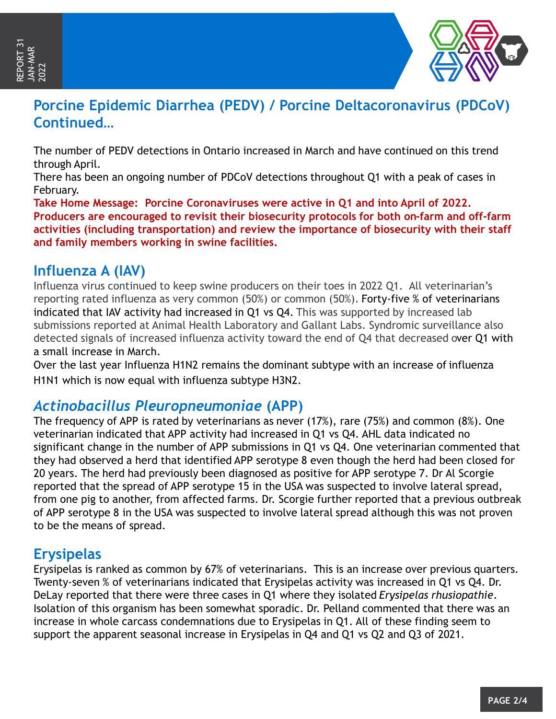

# **Porcine Epidemic Diarrhea (PEDV) / Porcine Deltacoronavirus (PDCoV) Continued…**

The number of PEDV detections in Ontario increased in March and have continued on this trend through April.

There has been an ongoing number of PDCoV detections throughout Q1 with a peak of cases in February.

**Take Home Message: Porcine Coronaviruses were active in Q1 and into April of 2022. Producers are encouraged to revisit their biosecurity protocols for both on-farm and off-farm activities (including transportation) and review the importance of biosecurity with their staff and family members working in swine facilities.**

### **Influenza A (IAV)**

Influenza virus continued to keep swine producers on their toes in 2022 Q1. All veterinarian's reporting rated influenza as very common (50%) or common (50%). Forty-five % of veterinarians indicated that IAV activity had increased in Q1 vs Q4. This was supported by increased lab submissions reported at Animal Health Laboratory and Gallant Labs. Syndromic surveillance also detected signals of increased influenza activity toward the end of Q4 that decreased over Q1 with a small increase in March.

Over the last year Influenza H1N2 remains the dominant subtype with an increase of influenza H1N1 which is now equal with influenza subtype H3N2.

### *Actinobacillus Pleuropneumoniae* **(APP)**

The frequency of APP is rated by veterinarians as never (17%), rare (75%) and common (8%). One veterinarian indicated that APP activity had increased in Q1 vs Q4. AHL data indicated no significant change in the number of APP submissions in Q1 vs Q4. One veterinarian commented that they had observed a herd that identified APP serotype 8 even though the herd had been closed for 20 years. The herd had previously been diagnosed as positive for APP serotype 7. Dr Al Scorgie reported that the spread of APP serotype 15 in the USA was suspected to involve lateral spread, from one pig to another, from affected farms. Dr. Scorgie further reported that a previous outbreak of APP serotype 8 in the USA was suspected to involve lateral spread although this was not proven to be the means of spread.

### **Erysipelas**

Erysipelas is ranked as common by 67% of veterinarians. This is an increase over previous quarters. Twenty-seven % of veterinarians indicated that Erysipelas activity was increased in Q1 vs Q4. Dr. DeLay reported that there were three cases in Q1 where they isolated *Erysipelas rhusiopathie*. Isolation of this organism has been somewhat sporadic. Dr. Pelland commented that there was an increase in whole carcass condemnations due to Erysipelas in Q1. All of these finding seem to support the apparent seasonal increase in Erysipelas in Q4 and Q1 vs Q2 and Q3 of 2021.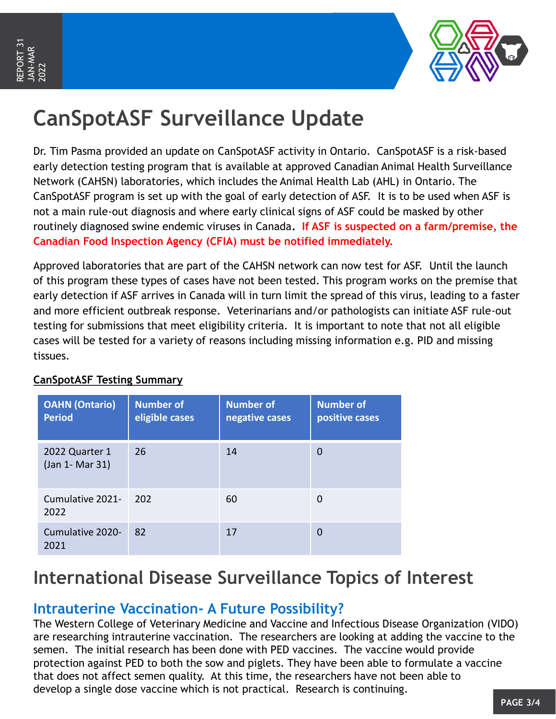

# **CanSpotASF Surveillance Update**

Dr. Tim Pasma provided an update on CanSpotASF activity in Ontario. CanSpotASF is a risk-based early detection testing program that is available at approved Canadian Animal Health Surveillance Network (CAHSN) laboratories, which includes the Animal Health Lab (AHL) in Ontario. The CanSpotASF program is set up with the goal of early detection of ASF. It is to be used when ASF is not a main rule-out diagnosis and where early clinical signs of ASF could be masked by other routinely diagnosed swine endemic viruses in Canada**. If ASF is suspected on a farm/premise, the Canadian Food Inspection Agency (CFIA) must be notified immediately.** 

Approved laboratories that are part of the CAHSN network can now test for ASF. Until the launch of this program these types of cases have not been tested. This program works on the premise that early detection if ASF arrives in Canada will in turn limit the spread of this virus, leading to a faster and more efficient outbreak response. Veterinarians and/or pathologists can initiate ASF rule-out testing for submissions that meet eligibility criteria. It is important to note that not all eligible cases will be tested for a variety of reasons including missing information e.g. PID and missing tissues.

| <b>OAHN</b> (Ontario)<br><b>Period</b> | <b>Number of</b><br>eligible cases | <b>Number of</b><br>negative cases | <b>Number of</b><br>positive cases |
|----------------------------------------|------------------------------------|------------------------------------|------------------------------------|
| 2022 Quarter 1<br>(Jan 1- Mar 31)      | 26                                 | 14                                 | 0                                  |
| Cumulative 2021-<br>2022               | 202                                | 60                                 | 0                                  |
| Cumulative 2020-<br>2021               | 82                                 | 17                                 | O                                  |

#### **CanSpotASF Testing Summary**

# **International Disease Surveillance Topics of Interest**

### **Intrauterine Vaccination- A Future Possibility?**

The Western College of Veterinary Medicine and Vaccine and Infectious Disease Organization (VIDO) are researching intrauterine vaccination. The researchers are looking at adding the vaccine to the semen. The initial research has been done with PED vaccines. The vaccine would provide protection against PED to both the sow and piglets. They have been able to formulate a vaccine that does not affect semen quality. At this time, the researchers have not been able to develop a single dose vaccine which is not practical. Research is continuing.